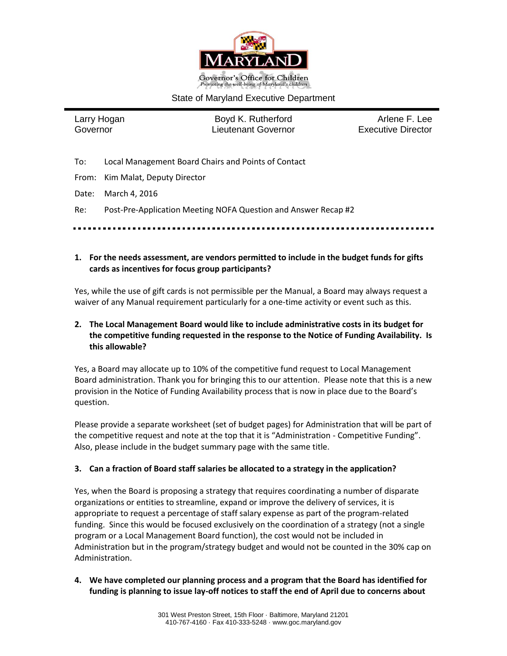

### State of Maryland Executive Department

Larry Hogan **Boyd K. Rutherford** Arlene F. Lee Governor Lieutenant Governor Executive Director

- To: Local Management Board Chairs and Points of Contact
- From: Kim Malat, Deputy Director

Date: March 4, 2016

Re: Post-Pre-Application Meeting NOFA Question and Answer Recap #2

**1. For the needs assessment, are vendors permitted to include in the budget funds for gifts cards as incentives for focus group participants?**

Yes, while the use of gift cards is not permissible per the Manual, a Board may always request a waiver of any Manual requirement particularly for a one-time activity or event such as this.

# **2. The Local Management Board would like to include administrative costs in its budget for the competitive funding requested in the response to the Notice of Funding Availability. Is this allowable?**

Yes, a Board may allocate up to 10% of the competitive fund request to Local Management Board administration. Thank you for bringing this to our attention. Please note that this is a new provision in the Notice of Funding Availability process that is now in place due to the Board's question.

Please provide a separate worksheet (set of budget pages) for Administration that will be part of the competitive request and note at the top that it is "Administration - Competitive Funding". Also, please include in the budget summary page with the same title.

# **3. Can a fraction of Board staff salaries be allocated to a strategy in the application?**

Yes, when the Board is proposing a strategy that requires coordinating a number of disparate organizations or entities to streamline, expand or improve the delivery of services, it is appropriate to request a percentage of staff salary expense as part of the program-related funding. Since this would be focused exclusively on the coordination of a strategy (not a single program or a Local Management Board function), the cost would not be included in Administration but in the program/strategy budget and would not be counted in the 30% cap on Administration.

**4. We have completed our planning process and a program that the Board has identified for funding is planning to issue lay-off notices to staff the end of April due to concerns about**